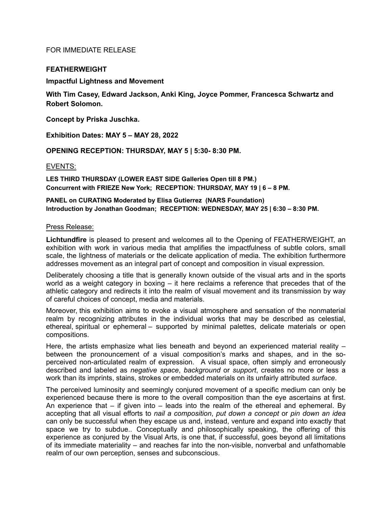# FOR IMMEDIATE RELEASE

## **FEATHERWEIGHT**

**Impactful Lightness and Movement**

**With Tim Casey, Edward Jackson, Anki King, Joyce Pommer, Francesca Schwartz and Robert Solomon.**

**Concept by Priska Juschka.**

**Exhibition Dates: MAY 5 – MAY 28, 2022**

**OPENING RECEPTION: THURSDAY, MAY 5 | 5:30- 8:30 PM.**

## EVENTS:

**LES THIRD THURSDAY (LOWER EAST SIDE Galleries Open till 8 PM.) Concurrent with FRIEZE New York; RECEPTION: THURSDAY, MAY 19 | 6 – 8 PM.**

**PANEL on CURATING Moderated by Elisa Gutierrez (NARS Foundation) Introduction by Jonathan Goodman; RECEPTION: WEDNESDAY, MAY 25 | 6:30 – 8:30 PM.**

### Press Release:

**Lichtundfire** is pleased to present and welcomes all to the Opening of FEATHERWEIGHT, an exhibition with work in various media that amplifies the impactfulness of subtle colors, small scale, the lightness of materials or the delicate application of media. The exhibition furthermore addresses movement as an integral part of concept and composition in visual expression.

Deliberately choosing a title that is generally known outside of the visual arts and in the sports world as a weight category in boxing – it here reclaims a reference that precedes that of the athletic category and redirects it into the realm of visual movement and its transmission by way of careful choices of concept, media and materials.

Moreover, this exhibition aims to evoke a visual atmosphere and sensation of the nonmaterial realm by recognizing attributes in the individual works that may be described as celestial, ethereal, spiritual or ephemeral – supported by minimal palettes, delicate materials or open compositions.

Here, the artists emphasize what lies beneath and beyond an experienced material reality – between the pronouncement of a visual composition's marks and shapes, and in the soperceived non-articulated realm of expression. A visual space, often simply and erroneously described and labeled as *negative space*, *background* or *support*, creates no more or less a work than its imprints, stains, strokes or embedded materials on its unfairly attributed *surface*.

The perceived luminosity and seemingly conjured movement of a specific medium can only be experienced because there is more to the overall composition than the eye ascertains at first. An experience that  $-$  if given into  $-$  leads into the realm of the ethereal and ephemeral. By accepting that all visual efforts to *nail a composition*, *put down a concept* or *pin down an idea*  can only be successful when they escape us and, instead, venture and expand into exactly that space we try to subdue.. Conceptually and philosophically speaking, the offering of this experience as conjured by the Visual Arts, is one that, if successful, goes beyond all limitations of its immediate materiality – and reaches far into the non-visible, nonverbal and unfathomable realm of our own perception, senses and subconscious.